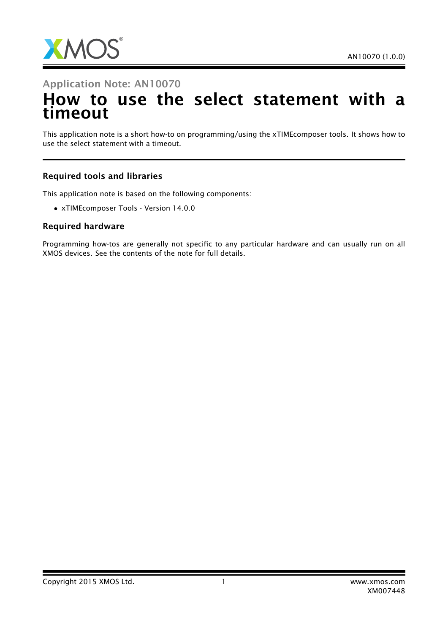

## Application Note: AN10070 How to use the select statement with a timeout

This application note is a short how-to on programming/using the xTIMEcomposer tools. It shows how to use the select statement with a timeout.

## Required tools and libraries

This application note is based on the following components:

• xTIMEcomposer Tools - Version 14.0.0

## Required hardware

Programming how-tos are generally not specific to any particular hardware and can usually run on all XMOS devices. See the contents of the note for full details.